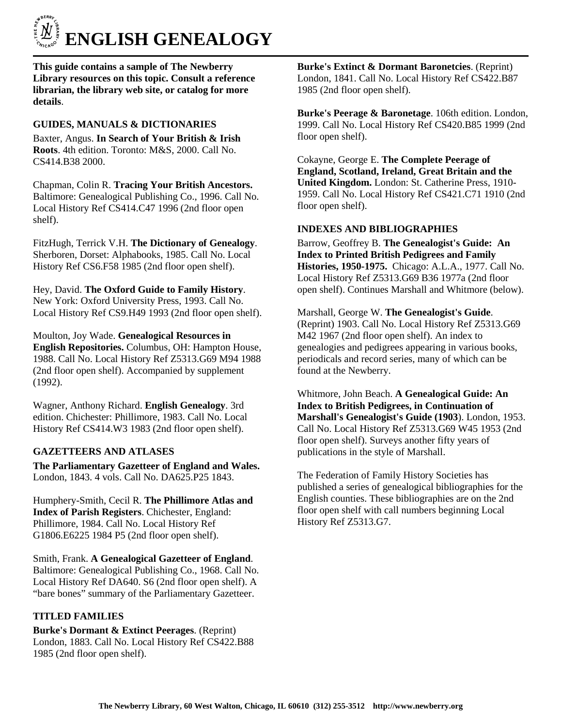

**This guide contains a sample of The Newberry Library resources on this topic. Consult a reference librarian, the library web site, or catalog for more details**.

# **GUIDES, MANUALS & DICTIONARIES**

Baxter, Angus. **In Search of Your British & Irish Roots**. 4th edition. Toronto: M&S, 2000. Call No. CS414.B38 2000.

Chapman, Colin R. **Tracing Your British Ancestors.** Baltimore: Genealogical Publishing Co., 1996. Call No. Local History Ref CS414.C47 1996 (2nd floor open shelf).

FitzHugh, Terrick V.H. **The Dictionary of Genealogy**. Sherboren, Dorset: Alphabooks, 1985. Call No. Local History Ref CS6.F58 1985 (2nd floor open shelf).

Hey, David. **The Oxford Guide to Family History**. New York: Oxford University Press, 1993. Call No. Local History Ref CS9.H49 1993 (2nd floor open shelf).

Moulton, Joy Wade. **Genealogical Resources in English Repositories.** Columbus, OH: Hampton House, 1988. Call No. Local History Ref Z5313.G69 M94 1988 (2nd floor open shelf). Accompanied by supplement (1992).

Wagner, Anthony Richard. **English Genealogy**. 3rd edition. Chichester: Phillimore, 1983. Call No. Local History Ref CS414.W3 1983 (2nd floor open shelf).

## **GAZETTEERS AND ATLASES**

**The Parliamentary Gazetteer of England and Wales.** London, 1843. 4 vols. Call No. DA625.P25 1843.

Humphery-Smith, Cecil R. **The Phillimore Atlas and Index of Parish Registers**. Chichester, England: Phillimore, 1984. Call No. Local History Ref G1806.E6225 1984 P5 (2nd floor open shelf).

Smith, Frank. **A Genealogical Gazetteer of England**. Baltimore: Genealogical Publishing Co., 1968. Call No. Local History Ref DA640. S6 (2nd floor open shelf). A "bare bones" summary of the Parliamentary Gazetteer.

## **TITLED FAMILIES**

**Burke's Dormant & Extinct Peerages**. (Reprint) London, 1883. Call No. Local History Ref CS422.B88 1985 (2nd floor open shelf).

**Burke's Extinct & Dormant Baronetcies**. (Reprint) London, 1841. Call No. Local History Ref CS422.B87 1985 (2nd floor open shelf).

**Burke's Peerage & Baronetage**. 106th edition. London, 1999. Call No. Local History Ref CS420.B85 1999 (2nd floor open shelf).

Cokayne, George E. **The Complete Peerage of England, Scotland, Ireland, Great Britain and the United Kingdom.** London: St. Catherine Press, 1910- 1959. Call No. Local History Ref CS421.C71 1910 (2nd floor open shelf).

### **INDEXES AND BIBLIOGRAPHIES**

Barrow, Geoffrey B. **The Genealogist's Guide: An Index to Printed British Pedigrees and Family Histories, 1950-1975.** Chicago: A.L.A., 1977. Call No. Local History Ref Z5313.G69 B36 1977a (2nd floor open shelf). Continues Marshall and Whitmore (below).

Marshall, George W. **The Genealogist's Guide**. (Reprint) 1903. Call No. Local History Ref Z5313.G69 M42 1967 (2nd floor open shelf). An index to genealogies and pedigrees appearing in various books, periodicals and record series, many of which can be found at the Newberry.

Whitmore, John Beach. **A Genealogical Guide: An Index to British Pedigrees, in Continuation of Marshall's Genealogist's Guide (1903**). London, 1953. Call No. Local History Ref Z5313.G69 W45 1953 (2nd floor open shelf). Surveys another fifty years of publications in the style of Marshall.

The Federation of Family History Societies has published a series of genealogical bibliographies for the English counties. These bibliographies are on the 2nd floor open shelf with call numbers beginning Local History Ref Z5313.G7.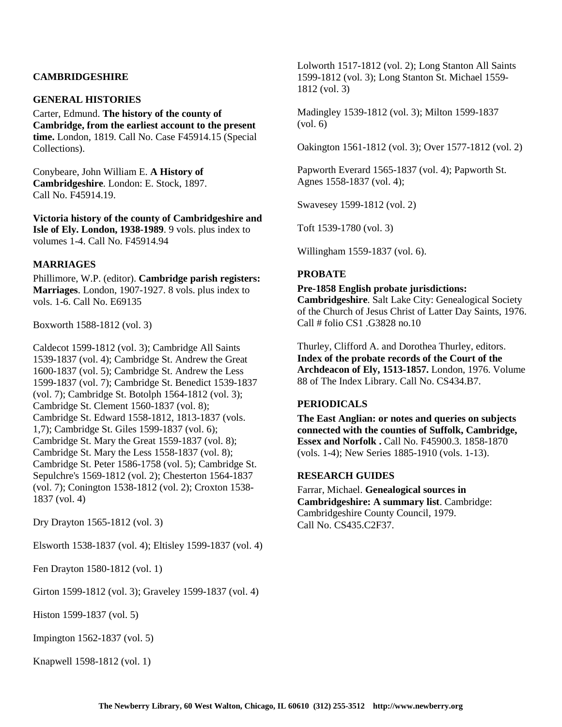## **CAMBRIDGESHIRE**

### **GENERAL HISTORIES**

Carter, Edmund. **The history of the county of Cambridge, from the earliest account to the present time.** London, 1819. Call No. Case F45914.15 (Special Collections).

Conybeare, John William E. **A History of Cambridgeshire**. London: E. Stock, 1897. Call No. F45914.19.

**Victoria history of the county of Cambridgeshire and Isle of Ely. London, 1938-1989**. 9 vols. plus index to volumes 1-4. Call No. F45914.94

### **MARRIAGES**

Phillimore, W.P. (editor). **Cambridge parish registers: Marriages**. London, 1907-1927. 8 vols. plus index to vols. 1-6. Call No. E69135

Boxworth 1588-1812 (vol. 3)

Caldecot 1599-1812 (vol. 3); Cambridge All Saints 1539-1837 (vol. 4); Cambridge St. Andrew the Great 1600-1837 (vol. 5); Cambridge St. Andrew the Less 1599-1837 (vol. 7); Cambridge St. Benedict 1539-1837 (vol. 7); Cambridge St. Botolph 1564-1812 (vol. 3); Cambridge St. Clement 1560-1837 (vol. 8); Cambridge St. Edward 1558-1812, 1813-1837 (vols. 1,7); Cambridge St. Giles 1599-1837 (vol. 6); Cambridge St. Mary the Great 1559-1837 (vol. 8); Cambridge St. Mary the Less 1558-1837 (vol. 8); Cambridge St. Peter 1586-1758 (vol. 5); Cambridge St. Sepulchre's 1569-1812 (vol. 2); Chesterton 1564-1837 (vol. 7); Conington 1538-1812 (vol. 2); Croxton 1538- 1837 (vol. 4)

Dry Drayton 1565-1812 (vol. 3)

Elsworth 1538-1837 (vol. 4); Eltisley 1599-1837 (vol. 4)

Fen Drayton 1580-1812 (vol. 1)

Girton 1599-1812 (vol. 3); Graveley 1599-1837 (vol. 4)

Histon 1599-1837 (vol. 5)

Impington 1562-1837 (vol. 5)

Knapwell 1598-1812 (vol. 1)

Lolworth 1517-1812 (vol. 2); Long Stanton All Saints 1599-1812 (vol. 3); Long Stanton St. Michael 1559- 1812 (vol. 3)

Madingley 1539-1812 (vol. 3); Milton 1599-1837  $(vol. 6)$ 

Oakington 1561-1812 (vol. 3); Over 1577-1812 (vol. 2)

Papworth Everard 1565-1837 (vol. 4); Papworth St. Agnes 1558-1837 (vol. 4);

Swavesey 1599-1812 (vol. 2)

Toft 1539-1780 (vol. 3)

Willingham 1559-1837 (vol. 6).

### **PROBATE**

#### **Pre-1858 English probate jurisdictions:**

**Cambridgeshire**. Salt Lake City: Genealogical Society of the Church of Jesus Christ of Latter Day Saints, 1976. Call # folio CS1 .G3828 no.10

Thurley, Clifford A. and Dorothea Thurley, editors. **Index of the probate records of the Court of the Archdeacon of Ely, 1513-1857.** London, 1976. Volume 88 of The Index Library. Call No. CS434.B7.

# **PERIODICALS**

**The East Anglian: or notes and queries on subjects connected with the counties of Suffolk, Cambridge, Essex and Norfolk .** Call No. F45900.3. 1858-1870 (vols. 1-4); New Series 1885-1910 (vols. 1-13).

## **RESEARCH GUIDES**

Farrar, Michael. **Genealogical sources in Cambridgeshire: A summary list**. Cambridge: Cambridgeshire County Council, 1979. Call No. CS435.C2F37.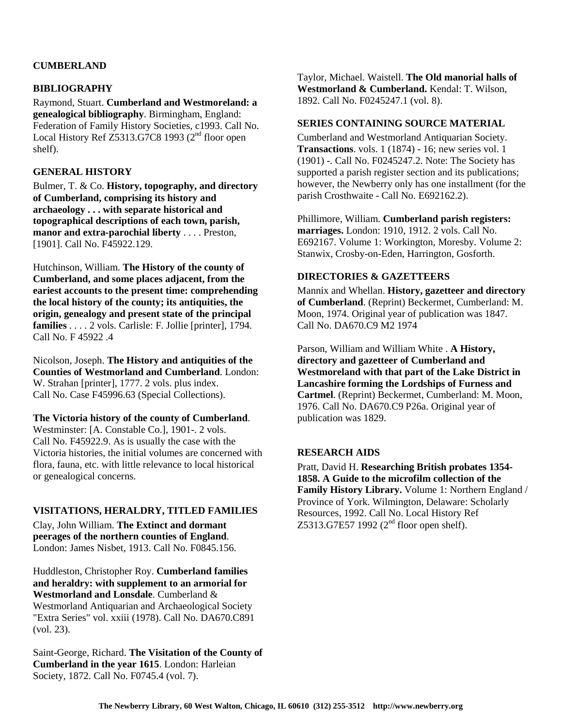# **CUMBERLAND**

## **BIBLIOGRAPHY**

Raymond, Stuart. **Cumberland and Westmoreland: a genealogical bibliography**. Birmingham, England: Federation of Family History Societies, c1993. Call No. Local History Ref Z5313.G7C8 1993 (2<sup>nd</sup> floor open shelf).

# **GENERAL HISTORY**

Bulmer, T. & Co. **History, topography, and directory of Cumberland, comprising its history and archaeology . . . with separate historical and topographical descriptions of each town, parish, manor and extra-parochial liberty** . . . . Preston, [1901]. Call No. F45922.129.

Hutchinson, William. **The History of the county of Cumberland, and some places adjacent, from the eariest accounts to the present time: comprehending the local history of the county; its antiquities, the origin, genealogy and present state of the principal families** . . . . 2 vols. Carlisle: F. Jollie [printer], 1794. Call No. F 45922 .4

Nicolson, Joseph. **The History and antiquities of the Counties of Westmorland and Cumberland**. London: W. Strahan [printer], 1777. 2 vols. plus index. Call No. Case F45996.63 (Special Collections).

### **The Victoria history of the county of Cumberland**.

Westminster: [A. Constable Co.], 1901-. 2 vols. Call No. F45922.9. As is usually the case with the Victoria histories, the initial volumes are concerned with flora, fauna, etc. with little relevance to local historical or genealogical concerns.

### **VISITATIONS, HERALDRY, TITLED FAMILIES**

Clay, John William. **The Extinct and dormant peerages of the northern counties of England**. London: James Nisbet, 1913. Call No. F0845.156.

Huddleston, Christopher Roy. **Cumberland families and heraldry: with supplement to an armorial for Westmorland and Lonsdale**. Cumberland & Westmorland Antiquarian and Archaeological Society "Extra Series" vol. xxiii (1978). Call No. DA670.C891 (vol. 23).

Saint-George, Richard. **The Visitation of the County of Cumberland in the year 1615**. London: Harleian Society, 1872. Call No. F0745.4 (vol. 7).

Taylor, Michael. Waistell. **The Old manorial halls of Westmorland & Cumberland.** Kendal: T. Wilson, 1892. Call No. F0245247.1 (vol. 8).

### **SERIES CONTAINING SOURCE MATERIAL**

Cumberland and Westmorland Antiquarian Society. **Transactions**. vols. 1 (1874) - 16; new series vol. 1 (1901) -. Call No. F0245247.2. Note: The Society has supported a parish register section and its publications; however, the Newberry only has one installment (for the parish Crosthwaite - Call No. E692162.2).

Phillimore, William. **Cumberland parish registers: marriages.** London: 1910, 1912. 2 vols. Call No. E692167. Volume 1: Workington, Moresby. Volume 2: Stanwix, Crosby-on-Eden, Harrington, Gosforth.

### **DIRECTORIES & GAZETTEERS**

Mannix and Whellan. **History, gazetteer and directory of Cumberland**. (Reprint) Beckermet, Cumberland: M. Moon, 1974. Original year of publication was 1847. Call No. DA670.C9 M2 1974

Parson, William and William White . **A History, directory and gazetteer of Cumberland and Westmoreland with that part of the Lake District in Lancashire forming the Lordships of Furness and Cartmel**. (Reprint) Beckermet, Cumberland: M. Moon, 1976. Call No. DA670.C9 P26a. Original year of publication was 1829.

### **RESEARCH AIDS**

Pratt, David H. **Researching British probates 1354- 1858. A Guide to the microfilm collection of the Family History Library.** Volume 1: Northern England / Province of York. Wilmington, Delaware: Scholarly Resources, 1992. Call No. Local History Ref Z5313.G7E57 1992 ( $2<sup>nd</sup>$  floor open shelf).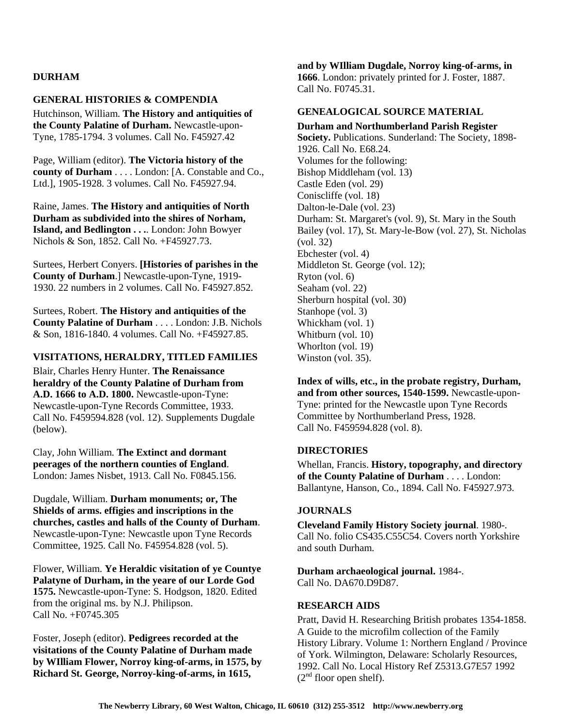## **DURHAM**

### **GENERAL HISTORIES & COMPENDIA**

Hutchinson, William. **The History and antiquities of the County Palatine of Durham.** Newcastle-upon-Tyne, 1785-1794. 3 volumes. Call No. F45927.42

Page, William (editor). **The Victoria history of the county of Durham** . . . . London: [A. Constable and Co., Ltd.], 1905-1928. 3 volumes. Call No. F45927.94.

Raine, James. **The History and antiquities of North Durham as subdivided into the shires of Norham, Island, and Bedlington . . .**. London: John Bowyer Nichols & Son, 1852. Call No. +F45927.73.

Surtees, Herbert Conyers. **[Histories of parishes in the County of Durham**.] Newcastle-upon-Tyne, 1919- 1930. 22 numbers in 2 volumes. Call No. F45927.852.

Surtees, Robert. **The History and antiquities of the County Palatine of Durham** . . . . London: J.B. Nichols & Son, 1816-1840. 4 volumes. Call No. +F45927.85.

### **VISITATIONS, HERALDRY, TITLED FAMILIES**

Blair, Charles Henry Hunter. **The Renaissance heraldry of the County Palatine of Durham from A.D. 1666 to A.D. 1800.** Newcastle-upon-Tyne: Newcastle-upon-Tyne Records Committee, 1933. Call No. F459594.828 (vol. 12). Supplements Dugdale (below).

Clay, John William. **The Extinct and dormant peerages of the northern counties of England**. London: James Nisbet, 1913. Call No. F0845.156.

Dugdale, William. **Durham monuments; or, The Shields of arms. effigies and inscriptions in the churches, castles and halls of the County of Durham**. Newcastle-upon-Tyne: Newcastle upon Tyne Records Committee, 1925. Call No. F45954.828 (vol. 5).

Flower, William. **Ye Heraldic visitation of ye Countye Palatyne of Durham, in the yeare of our Lorde God 1575.** Newcastle-upon-Tyne: S. Hodgson, 1820. Edited from the original ms. by N.J. Philipson. Call No. +F0745.305

Foster, Joseph (editor). **Pedigrees recorded at the visitations of the County Palatine of Durham made by WIlliam Flower, Norroy king-of-arms, in 1575, by Richard St. George, Norroy-king-of-arms, in 1615,** 

**and by WIlliam Dugdale, Norroy king-of-arms, in 1666**. London: privately printed for J. Foster, 1887. Call No. F0745.31.

### **GENEALOGICAL SOURCE MATERIAL**

**Durham and Northumberland Parish Register Society.** Publications. Sunderland: The Society, 1898- 1926. Call No. E68.24. Volumes for the following: Bishop Middleham (vol. 13) Castle Eden (vol. 29) Coniscliffe (vol. 18) Dalton-le-Dale (vol. 23) Durham: St. Margaret's (vol. 9), St. Mary in the South Bailey (vol. 17), St. Mary-le-Bow (vol. 27), St. Nicholas (vol. 32) Ebchester (vol. 4) Middleton St. George (vol. 12); Ryton (vol. 6) Seaham (vol. 22) Sherburn hospital (vol. 30) Stanhope (vol. 3) Whickham (vol. 1) Whitburn (vol. 10) Whorlton (vol. 19) Winston (vol. 35).

**Index of wills, etc., in the probate registry, Durham, and from other sources, 1540-1599.** Newcastle-upon-Tyne: printed for the Newcastle upon Tyne Records Committee by Northumberland Press, 1928. Call No. F459594.828 (vol. 8).

#### **DIRECTORIES**

Whellan, Francis. **History, topography, and directory of the County Palatine of Durham** . . . . London: Ballantyne, Hanson, Co., 1894. Call No. F45927.973.

#### **JOURNALS**

**Cleveland Family History Society journal**. 1980-. Call No. folio CS435.C55C54. Covers north Yorkshire and south Durham.

**Durham archaeological journal.** 1984-. Call No. DA670.D9D87.

#### **RESEARCH AIDS**

Pratt, David H. Researching British probates 1354-1858. A Guide to the microfilm collection of the Family History Library. Volume 1: Northern England / Province of York. Wilmington, Delaware: Scholarly Resources, 1992. Call No. Local History Ref Z5313.G7E57 1992  $(2<sup>nd</sup>$  floor open shelf).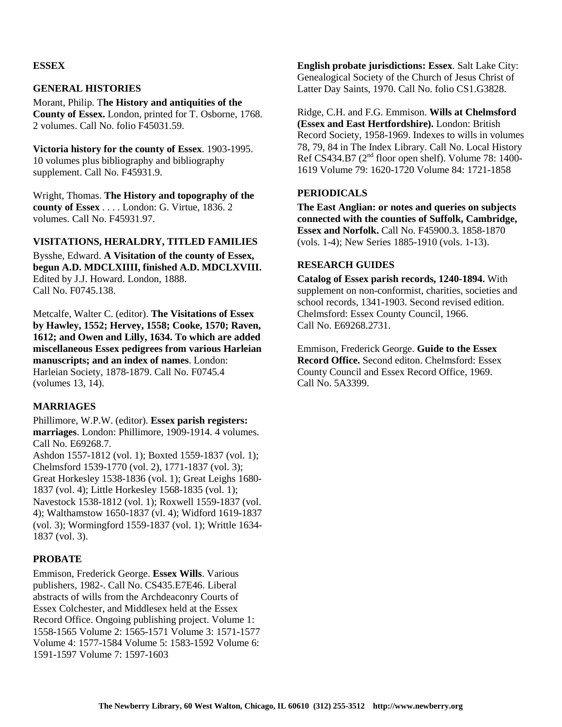## **ESSEX**

## **GENERAL HISTORIES**

Morant, Philip. T**he History and antiquities of the County of Essex.** London, printed for T. Osborne, 1768. 2 volumes. Call No. folio F45031.59.

**Victoria history for the county of Essex**. 1903-1995. 10 volumes plus bibliography and bibliography supplement. Call No. F45931.9.

Wright, Thomas. **The History and topography of the county of Essex** . . . . London: G. Virtue, 1836. 2 volumes. Call No. F45931.97.

## **VISITATIONS, HERALDRY, TITLED FAMILIES**

Bysshe, Edward. **A Visitation of the county of Essex, begun A.D. MDCLXIIII, finished A.D. MDCLXVIII.** Edited by J.J. Howard. London, 1888. Call No. F0745.138.

Metcalfe, Walter C. (editor). **The Visitations of Essex by Hawley, 1552; Hervey, 1558; Cooke, 1570; Raven, 1612; and Owen and Lilly, 1634. To which are added miscellaneous Essex pedigrees from various Harleian manuscripts; and an index of names**. London: Harleian Society, 1878-1879. Call No. F0745.4 (volumes 13, 14).

## **MARRIAGES**

Phillimore, W.P.W. (editor). **Essex parish registers: marriages**. London: Phillimore, 1909-1914. 4 volumes. Call No. E69268.7.

Ashdon 1557-1812 (vol. 1); Boxted 1559-1837 (vol. 1); Chelmsford 1539-1770 (vol. 2), 1771-1837 (vol. 3); Great Horkesley 1538-1836 (vol. 1); Great Leighs 1680- 1837 (vol. 4); Little Horkesley 1568-1835 (vol. 1); Navestock 1538-1812 (vol. 1); Roxwell 1559-1837 (vol. 4); Walthamstow 1650-1837 (vl. 4); Widford 1619-1837 (vol. 3); Wormingford 1559-1837 (vol. 1); Writtle 1634- 1837 (vol. 3).

### **PROBATE**

Emmison, Frederick George. **Essex Wills**. Various publishers, 1982-. Call No. CS435.E7E46. Liberal abstracts of wills from the Archdeaconry Courts of Essex Colchester, and Middlesex held at the Essex Record Office. Ongoing publishing project. Volume 1: 1558-1565 Volume 2: 1565-1571 Volume 3: 1571-1577 Volume 4: 1577-1584 Volume 5: 1583-1592 Volume 6: 1591-1597 Volume 7: 1597-1603

**English probate jurisdictions: Essex**. Salt Lake City: Genealogical Society of the Church of Jesus Christ of Latter Day Saints, 1970. Call No. folio CS1.G3828.

Ridge, C.H. and F.G. Emmison. **Wills at Chelmsford (Essex and East Hertfordshire).** London: British Record Society, 1958-1969. Indexes to wills in volumes 78, 79, 84 in The Index Library. Call No. Local History Ref CS434.B7 ( $2<sup>nd</sup>$  floor open shelf). Volume 78: 1400-1619 Volume 79: 1620-1720 Volume 84: 1721-1858

## **PERIODICALS**

**The East Anglian: or notes and queries on subjects connected with the counties of Suffolk, Cambridge, Essex and Norfolk.** Call No. F45900.3. 1858-1870 (vols. 1-4); New Series 1885-1910 (vols. 1-13).

### **RESEARCH GUIDES**

**Catalog of Essex parish records, 1240-1894.** With supplement on non-conformist, charities, societies and school records, 1341-1903. Second revised edition. Chelmsford: Essex County Council, 1966. Call No. E69268.2731.

Emmison, Frederick George. **Guide to the Essex Record Office.** Second editon. Chelmsford: Essex County Council and Essex Record Office, 1969. Call No. 5A3399.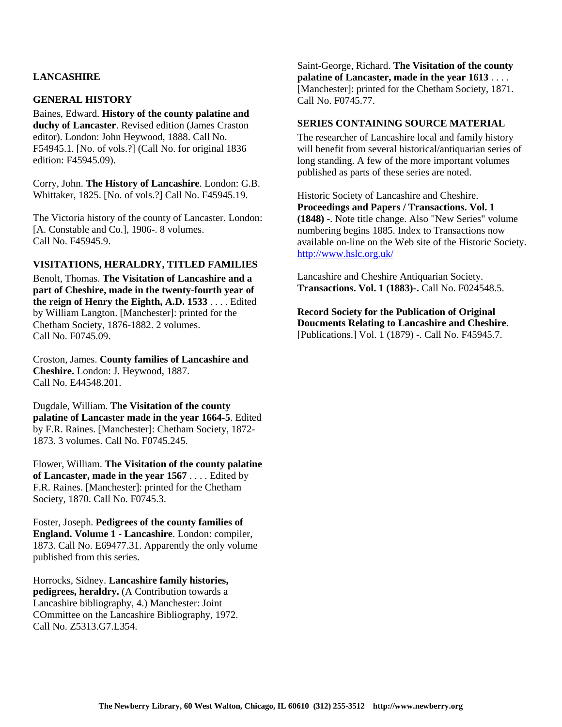# **LANCASHIRE**

### **GENERAL HISTORY**

Baines, Edward. **History of the county palatine and duchy of Lancaster**. Revised edition (James Craston editor). London: John Heywood, 1888. Call No. F54945.1. [No. of vols.?] (Call No. for original 1836 edition: F45945.09).

Corry, John. **The History of Lancashire**. London: G.B. Whittaker, 1825. [No. of vols.?] Call No. F45945.19.

The Victoria history of the county of Lancaster. London: [A. Constable and Co.], 1906-. 8 volumes. Call No. F45945.9.

### **VISITATIONS, HERALDRY, TITLED FAMILIES**

Benolt, Thomas. **The Visitation of Lancashire and a part of Cheshire, made in the twenty-fourth year of the reign of Henry the Eighth, A.D. 1533** . . . . Edited by William Langton. [Manchester]: printed for the Chetham Society, 1876-1882. 2 volumes. Call No. F0745.09.

Croston, James. **County families of Lancashire and Cheshire.** London: J. Heywood, 1887. Call No. E44548.201.

Dugdale, William. **The Visitation of the county palatine of Lancaster made in the year 1664-5**. Edited by F.R. Raines. [Manchester]: Chetham Society, 1872- 1873. 3 volumes. Call No. F0745.245.

Flower, William. **The Visitation of the county palatine of Lancaster, made in the year 1567** . . . . Edited by F.R. Raines. [Manchester]: printed for the Chetham Society, 1870. Call No. F0745.3.

Foster, Joseph. **Pedigrees of the county families of England. Volume 1 - Lancashire**. London: compiler, 1873. Call No. E69477.31. Apparently the only volume published from this series.

Horrocks, Sidney. **Lancashire family histories, pedigrees, heraldry.** (A Contribution towards a Lancashire bibliography, 4.) Manchester: Joint COmmittee on the Lancashire Bibliography, 1972. Call No. Z5313.G7.L354.

Saint-George, Richard. **The Visitation of the county palatine of Lancaster, made in the year 1613** . . . . [Manchester]: printed for the Chetham Society, 1871. Call No. F0745.77.

#### **SERIES CONTAINING SOURCE MATERIAL**

The researcher of Lancashire local and family history will benefit from several historical/antiquarian series of long standing. A few of the more important volumes published as parts of these series are noted.

Historic Society of Lancashire and Cheshire. **Proceedings and Papers / Transactions. Vol. 1 (1848)** -. Note title change. Also "New Series" volume numbering begins 1885. Index to Transactions now available on-line on the Web site of the Historic Society. http://www.hslc.org.uk/

Lancashire and Cheshire Antiquarian Society. **Transactions. Vol. 1 (1883)-.** Call No. F024548.5.

**Record Society for the Publication of Original Doucments Relating to Lancashire and Cheshire**. [Publications.] Vol. 1 (1879) -. Call No. F45945.7.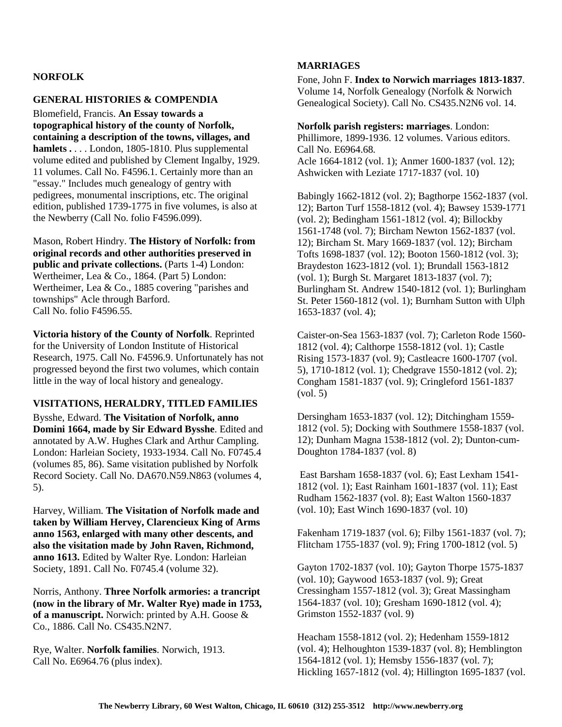## **NORFOLK**

### **GENERAL HISTORIES & COMPENDIA**

Blomefield, Francis. **An Essay towards a topographical history of the county of Norfolk, containing a description of the towns, villages, and hamlets .** . . . London, 1805-1810. Plus supplemental volume edited and published by Clement Ingalby, 1929. 11 volumes. Call No. F4596.1. Certainly more than an "essay." Includes much genealogy of gentry with pedigrees, monumental inscriptions, etc. The original edition, published 1739-1775 in five volumes, is also at the Newberry (Call No. folio F4596.099).

Mason, Robert Hindry. **The History of Norfolk: from original records and other authorities preserved in public and private collections.** (Parts 1-4) London: Wertheimer, Lea & Co., 1864. (Part 5) London: Wertheimer, Lea & Co., 1885 covering "parishes and townships" Acle through Barford. Call No. folio F4596.55.

**Victoria history of the County of Norfolk**. Reprinted for the University of London Institute of Historical Research, 1975. Call No. F4596.9. Unfortunately has not progressed beyond the first two volumes, which contain little in the way of local history and genealogy.

## **VISITATIONS, HERALDRY, TITLED FAMILIES**

Bysshe, Edward. **The Visitation of Norfolk, anno Domini 1664, made by Sir Edward Bysshe**. Edited and annotated by A.W. Hughes Clark and Arthur Campling. London: Harleian Society, 1933-1934. Call No. F0745.4 (volumes 85, 86). Same visitation published by Norfolk Record Society. Call No. DA670.N59.N863 (volumes 4, 5).

Harvey, William. **The Visitation of Norfolk made and taken by William Hervey, Clarencieux King of Arms anno 1563, enlarged with many other descents, and also the visitation made by John Raven, Richmond, anno 1613.** Edited by Walter Rye. London: Harleian Society, 1891. Call No. F0745.4 (volume 32).

Norris, Anthony. **Three Norfolk armories: a trancript (now in the library of Mr. Walter Rye) made in 1753, of a manuscript.** Norwich: printed by A.H. Goose & Co., 1886. Call No. CS435.N2N7.

Rye, Walter. **Norfolk families**. Norwich, 1913. Call No. E6964.76 (plus index).

### **MARRIAGES**

Fone, John F. **Index to Norwich marriages 1813-1837**. Volume 14, Norfolk Genealogy (Norfolk & Norwich Genealogical Society). Call No. CS435.N2N6 vol. 14.

**Norfolk parish registers: marriages**. London: Phillimore, 1899-1936. 12 volumes. Various editors. Call No. E6964.68. Acle 1664-1812 (vol. 1); Anmer 1600-1837 (vol. 12); Ashwicken with Leziate 1717-1837 (vol. 10)

Babingly 1662-1812 (vol. 2); Bagthorpe 1562-1837 (vol. 12); Barton Turf 1558-1812 (vol. 4); Bawsey 1539-1771 (vol. 2); Bedingham 1561-1812 (vol. 4); Billockby 1561-1748 (vol. 7); Bircham Newton 1562-1837 (vol. 12); Bircham St. Mary 1669-1837 (vol. 12); Bircham Tofts 1698-1837 (vol. 12); Booton 1560-1812 (vol. 3); Braydeston 1623-1812 (vol. 1); Brundall 1563-1812 (vol. 1); Burgh St. Margaret 1813-1837 (vol. 7); Burlingham St. Andrew 1540-1812 (vol. 1); Burlingham St. Peter 1560-1812 (vol. 1); Burnham Sutton with Ulph 1653-1837 (vol. 4);

Caister-on-Sea 1563-1837 (vol. 7); Carleton Rode 1560- 1812 (vol. 4); Calthorpe 1558-1812 (vol. 1); Castle Rising 1573-1837 (vol. 9); Castleacre 1600-1707 (vol. 5), 1710-1812 (vol. 1); Chedgrave 1550-1812 (vol. 2); Congham 1581-1837 (vol. 9); Cringleford 1561-1837 (vol. 5)

Dersingham 1653-1837 (vol. 12); Ditchingham 1559- 1812 (vol. 5); Docking with Southmere 1558-1837 (vol. 12); Dunham Magna 1538-1812 (vol. 2); Dunton-cum-Doughton 1784-1837 (vol. 8)

 East Barsham 1658-1837 (vol. 6); East Lexham 1541- 1812 (vol. 1); East Rainham 1601-1837 (vol. 11); East Rudham 1562-1837 (vol. 8); East Walton 1560-1837 (vol. 10); East Winch 1690-1837 (vol. 10)

Fakenham 1719-1837 (vol. 6); Filby 1561-1837 (vol. 7); Flitcham 1755-1837 (vol. 9); Fring 1700-1812 (vol. 5)

Gayton 1702-1837 (vol. 10); Gayton Thorpe 1575-1837 (vol. 10); Gaywood 1653-1837 (vol. 9); Great Cressingham 1557-1812 (vol. 3); Great Massingham 1564-1837 (vol. 10); Gresham 1690-1812 (vol. 4); Grimston 1552-1837 (vol. 9)

Heacham 1558-1812 (vol. 2); Hedenham 1559-1812 (vol. 4); Helhoughton 1539-1837 (vol. 8); Hemblington 1564-1812 (vol. 1); Hemsby 1556-1837 (vol. 7); Hickling 1657-1812 (vol. 4); Hillington 1695-1837 (vol.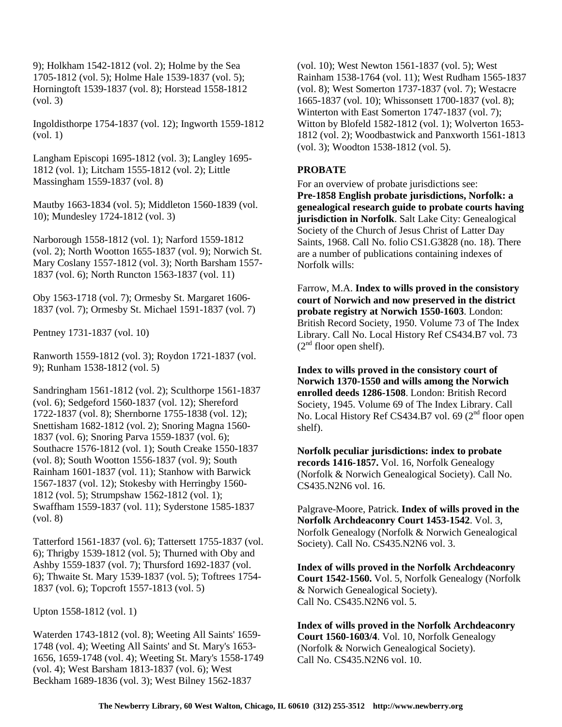9); Holkham 1542-1812 (vol. 2); Holme by the Sea 1705-1812 (vol. 5); Holme Hale 1539-1837 (vol. 5); Horningtoft 1539-1837 (vol. 8); Horstead 1558-1812 (vol. 3)

Ingoldisthorpe 1754-1837 (vol. 12); Ingworth 1559-1812 (vol. 1)

Langham Episcopi 1695-1812 (vol. 3); Langley 1695- 1812 (vol. 1); Litcham 1555-1812 (vol. 2); Little Massingham 1559-1837 (vol. 8)

Mautby 1663-1834 (vol. 5); Middleton 1560-1839 (vol. 10); Mundesley 1724-1812 (vol. 3)

Narborough 1558-1812 (vol. 1); Narford 1559-1812 (vol. 2); North Wootton 1655-1837 (vol. 9); Norwich St. Mary Coslany 1557-1812 (vol. 3); North Barsham 1557- 1837 (vol. 6); North Runcton 1563-1837 (vol. 11)

Oby 1563-1718 (vol. 7); Ormesby St. Margaret 1606- 1837 (vol. 7); Ormesby St. Michael 1591-1837 (vol. 7)

Pentney 1731-1837 (vol. 10)

Ranworth 1559-1812 (vol. 3); Roydon 1721-1837 (vol. 9); Runham 1538-1812 (vol. 5)

Sandringham 1561-1812 (vol. 2); Sculthorpe 1561-1837 (vol. 6); Sedgeford 1560-1837 (vol. 12); Shereford 1722-1837 (vol. 8); Shernborne 1755-1838 (vol. 12); Snettisham 1682-1812 (vol. 2); Snoring Magna 1560- 1837 (vol. 6); Snoring Parva 1559-1837 (vol. 6); Southacre 1576-1812 (vol. 1); South Creake 1550-1837 (vol. 8); South Wootton 1556-1837 (vol. 9); South Rainham 1601-1837 (vol. 11); Stanhow with Barwick 1567-1837 (vol. 12); Stokesby with Herringby 1560- 1812 (vol. 5); Strumpshaw 1562-1812 (vol. 1); Swaffham 1559-1837 (vol. 11); Syderstone 1585-1837 (vol. 8)

Tatterford 1561-1837 (vol. 6); Tattersett 1755-1837 (vol. 6); Thrigby 1539-1812 (vol. 5); Thurned with Oby and Ashby 1559-1837 (vol. 7); Thursford 1692-1837 (vol. 6); Thwaite St. Mary 1539-1837 (vol. 5); Toftrees 1754- 1837 (vol. 6); Topcroft 1557-1813 (vol. 5)

Upton 1558-1812 (vol. 1)

Waterden 1743-1812 (vol. 8); Weeting All Saints' 1659- 1748 (vol. 4); Weeting All Saints' and St. Mary's 1653- 1656, 1659-1748 (vol. 4); Weeting St. Mary's 1558-1749 (vol. 4); West Barsham 1813-1837 (vol. 6); West Beckham 1689-1836 (vol. 3); West Bilney 1562-1837

(vol. 10); West Newton 1561-1837 (vol. 5); West Rainham 1538-1764 (vol. 11); West Rudham 1565-1837 (vol. 8); West Somerton 1737-1837 (vol. 7); Westacre 1665-1837 (vol. 10); Whissonsett 1700-1837 (vol. 8); Winterton with East Somerton 1747-1837 (vol. 7); Witton by Blofeld 1582-1812 (vol. 1); Wolverton 1653- 1812 (vol. 2); Woodbastwick and Panxworth 1561-1813 (vol. 3); Woodton 1538-1812 (vol. 5).

## **PROBATE**

For an overview of probate jurisdictions see: **Pre-1858 English probate jurisdictions, Norfolk: a genealogical research guide to probate courts having jurisdiction in Norfolk**. Salt Lake City: Genealogical Society of the Church of Jesus Christ of Latter Day Saints, 1968. Call No. folio CS1.G3828 (no. 18). There are a number of publications containing indexes of Norfolk wills:

Farrow, M.A. **Index to wills proved in the consistory court of Norwich and now preserved in the district probate registry at Norwich 1550-1603**. London: British Record Society, 1950. Volume 73 of The Index Library. Call No. Local History Ref CS434.B7 vol. 73  $(2<sup>nd</sup>$  floor open shelf).

**Index to wills proved in the consistory court of Norwich 1370-1550 and wills among the Norwich enrolled deeds 1286-1508**. London: British Record Society, 1945. Volume 69 of The Index Library. Call No. Local History Ref CS434.B7 vol. 69 (2<sup>nd</sup> floor open shelf).

**Norfolk peculiar jurisdictions: index to probate records 1416-1857.** Vol. 16, Norfolk Genealogy (Norfolk & Norwich Genealogical Society). Call No. CS435.N2N6 vol. 16.

Palgrave-Moore, Patrick. **Index of wills proved in the Norfolk Archdeaconry Court 1453-1542**. Vol. 3, Norfolk Genealogy (Norfolk & Norwich Genealogical Society). Call No. CS435.N2N6 vol. 3.

**Index of wills proved in the Norfolk Archdeaconry Court 1542-1560.** Vol. 5, Norfolk Genealogy (Norfolk & Norwich Genealogical Society). Call No. CS435.N2N6 vol. 5.

**Index of wills proved in the Norfolk Archdeaconry Court 1560-1603/4**. Vol. 10, Norfolk Genealogy (Norfolk & Norwich Genealogical Society). Call No. CS435.N2N6 vol. 10.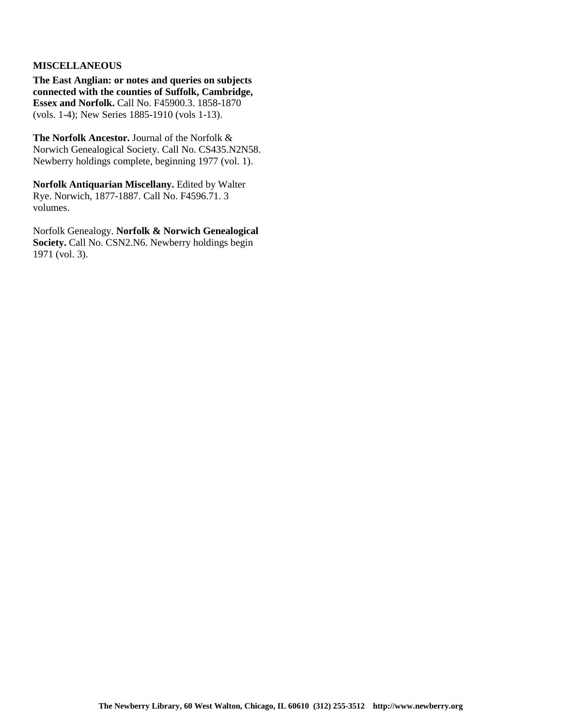## **MISCELLANEOUS**

**The East Anglian: or notes and queries on subjects connected with the counties of Suffolk, Cambridge, Essex and Norfolk.** Call No. F45900.3. 1858-1870 (vols. 1-4); New Series 1885-1910 (vols 1-13).

**The Norfolk Ancestor.** Journal of the Norfolk & Norwich Genealogical Society. Call No. CS435.N2N58. Newberry holdings complete, beginning 1977 (vol. 1).

**Norfolk Antiquarian Miscellany.** Edited by Walter Rye. Norwich, 1877-1887. Call No. F4596.71. 3 volumes.

Norfolk Genealogy. **Norfolk & Norwich Genealogical**  Society. Call No. CSN2.N6. Newberry holdings begin 1971 (vol. 3).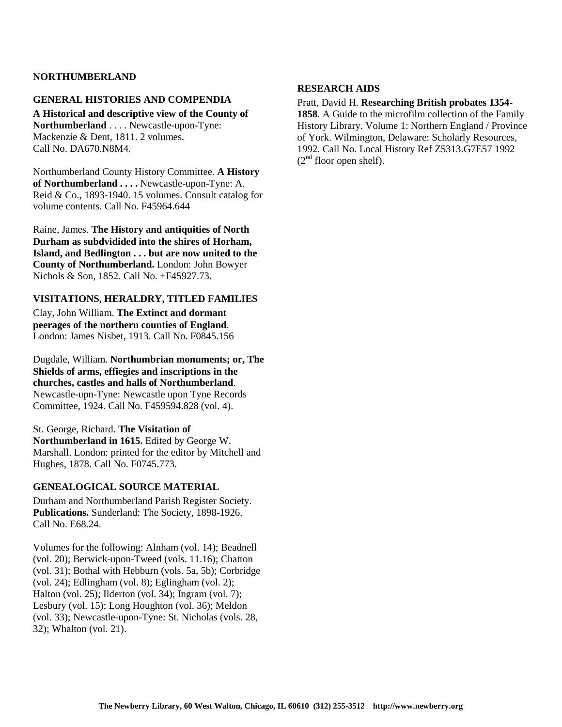## **NORTHUMBERLAND**

### **GENERAL HISTORIES AND COMPENDIA**

**A Historical and descriptive view of the County of Northumberland** . . . . Newcastle-upon-Tyne: Mackenzie & Dent, 1811. 2 volumes. Call No. DA670.N8M4.

Northumberland County History Committee. **A History of Northumberland . . . .** Newcastle-upon-Tyne: A. Reid & Co., 1893-1940. 15 volumes. Consult catalog for volume contents. Call No. F45964.644

Raine, James. **The History and antiquities of North Durham as subdvidided into the shires of Horham, Island, and Bedlington . . . but are now united to the County of Northumberland.** London: John Bowyer Nichols & Son, 1852. Call No. +F45927.73.

## **VISITATIONS, HERALDRY, TITLED FAMILIES**

Clay, John William. **The Extinct and dormant peerages of the northern counties of England**. London: James Nisbet, 1913. Call No. F0845.156

Dugdale, William. **Northumbrian monuments; or, The Shields of arms, effiegies and inscriptions in the churches, castles and halls of Northumberland**. Newcastle-upn-Tyne: Newcastle upon Tyne Records Committee, 1924. Call No. F459594.828 (vol. 4).

St. George, Richard. **The Visitation of Northumberland in 1615.** Edited by George W. Marshall. London: printed for the editor by Mitchell and Hughes, 1878. Call No. F0745.773.

## **GENEALOGICAL SOURCE MATERIAL**

Durham and Northumberland Parish Register Society. **Publications.** Sunderland: The Society, 1898-1926. Call No. E68.24.

Volumes for the following: Alnham (vol. 14); Beadnell (vol. 20); Berwick-upon-Tweed (vols. 11.16); Chatton (vol. 31); Bothal with Hebburn (vols. 5a, 5b); Corbridge (vol. 24); Edlingham (vol. 8); Eglingham (vol. 2); Halton (vol. 25); Ilderton (vol. 34); Ingram (vol. 7); Lesbury (vol. 15); Long Houghton (vol. 36); Meldon (vol. 33); Newcastle-upon-Tyne: St. Nicholas (vols. 28, 32); Whalton (vol. 21).

### **RESEARCH AIDS**

#### Pratt, David H. **Researching British probates 1354-**

**1858**. A Guide to the microfilm collection of the Family History Library. Volume 1: Northern England / Province of York. Wilmington, Delaware: Scholarly Resources, 1992. Call No. Local History Ref Z5313.G7E57 1992  $(2<sup>nd</sup>$  floor open shelf).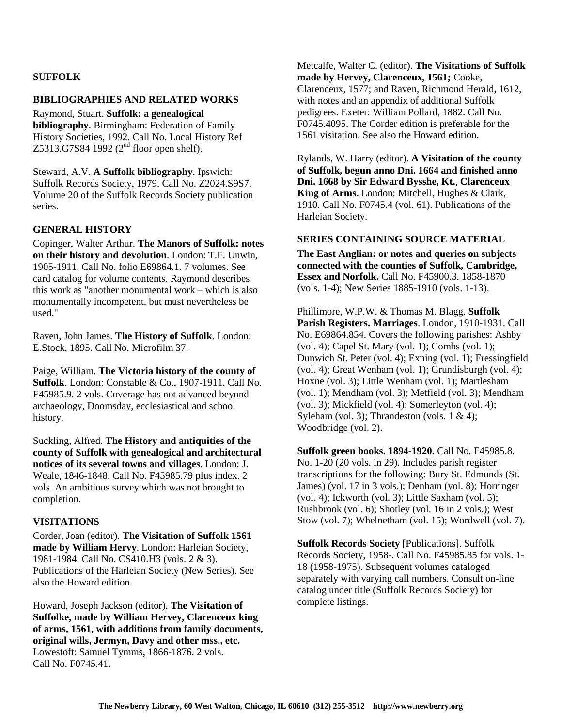## **SUFFOLK**

### **BIBLIOGRAPHIES AND RELATED WORKS**

Raymond, Stuart. **Suffolk: a genealogical bibliography**. Birmingham: Federation of Family History Societies, 1992. Call No. Local History Ref Z5313.G7S84 1992 (2<sup>nd</sup> floor open shelf).

Steward, A.V. **A Suffolk bibliography**. Ipswich: Suffolk Records Society, 1979. Call No. Z2024.S9S7. Volume 20 of the Suffolk Records Society publication series.

## **GENERAL HISTORY**

Copinger, Walter Arthur. **The Manors of Suffolk: notes on their history and devolution**. London: T.F. Unwin, 1905-1911. Call No. folio E69864.1. 7 volumes. See card catalog for volume contents. Raymond describes this work as "another monumental work – which is also monumentally incompetent, but must nevertheless be used."

Raven, John James. **The History of Suffolk**. London: E.Stock, 1895. Call No. Microfilm 37.

Paige, William. **The Victoria history of the county of Suffolk**. London: Constable & Co., 1907-1911. Call No. F45985.9. 2 vols. Coverage has not advanced beyond archaeology, Doomsday, ecclesiastical and school history.

Suckling, Alfred. **The History and antiquities of the county of Suffolk with genealogical and architectural notices of its several towns and villages**. London: J. Weale, 1846-1848. Call No. F45985.79 plus index. 2 vols. An ambitious survey which was not brought to completion.

## **VISITATIONS**

Corder, Joan (editor). **The Visitation of Suffolk 1561 made by William Hervy**. London: Harleian Society, 1981-1984. Call No. CS410.H3 (vols. 2 & 3). Publications of the Harleian Society (New Series). See also the Howard edition.

Howard, Joseph Jackson (editor). **The Visitation of Suffolke, made by William Hervey, Clarenceux king of arms, 1561, with additions from family documents, original wills, Jermyn, Davy and other mss., etc.** Lowestoft: Samuel Tymms, 1866-1876. 2 vols. Call No. F0745.41.

Metcalfe, Walter C. (editor). **The Visitations of Suffolk made by Hervey, Clarenceux, 1561;** Cooke, Clarenceux, 1577; and Raven, Richmond Herald, 1612, with notes and an appendix of additional Suffolk pedigrees. Exeter: William Pollard, 1882. Call No. F0745.4095. The Corder edition is preferable for the 1561 visitation. See also the Howard edition.

Rylands, W. Harry (editor). **A Visitation of the county of Suffolk, begun anno Dni. 1664 and finished anno Dni. 1668 by Sir Edward Bysshe, Kt.**, **Clarenceux King of Arms.** London: Mitchell, Hughes & Clark, 1910. Call No. F0745.4 (vol. 61). Publications of the Harleian Society.

### **SERIES CONTAINING SOURCE MATERIAL**

**The East Anglian: or notes and queries on subjects connected with the counties of Suffolk, Cambridge, Essex and Norfolk.** Call No. F45900.3. 1858-1870 (vols. 1-4); New Series 1885-1910 (vols. 1-13).

Phillimore, W.P.W. & Thomas M. Blagg. **Suffolk Parish Registers. Marriages**. London, 1910-1931. Call No. E69864.854. Covers the following parishes: Ashby (vol. 4); Capel St. Mary (vol. 1); Combs (vol. 1); Dunwich St. Peter (vol. 4); Exning (vol. 1); Fressingfield (vol. 4); Great Wenham (vol. 1); Grundisburgh (vol. 4); Hoxne (vol. 3); Little Wenham (vol. 1); Martlesham (vol. 1); Mendham (vol. 3); Metfield (vol. 3); Mendham (vol. 3); Mickfield (vol. 4); Somerleyton (vol. 4); Syleham (vol. 3); Thrandeston (vols.  $1 \& 4$ ); Woodbridge (vol. 2).

**Suffolk green books. 1894-1920.** Call No. F45985.8. No. 1-20 (20 vols. in 29). Includes parish register transcriptions for the following: Bury St. Edmunds (St. James) (vol. 17 in 3 vols.); Denham (vol. 8); Horringer (vol. 4); Ickworth (vol. 3); Little Saxham (vol. 5); Rushbrook (vol. 6); Shotley (vol. 16 in 2 vols.); West Stow (vol. 7); Whelnetham (vol. 15); Wordwell (vol. 7).

**Suffolk Records Society** [Publications]. Suffolk Records Society, 1958-. Call No. F45985.85 for vols. 1- 18 (1958-1975). Subsequent volumes cataloged separately with varying call numbers. Consult on-line catalog under title (Suffolk Records Society) for complete listings.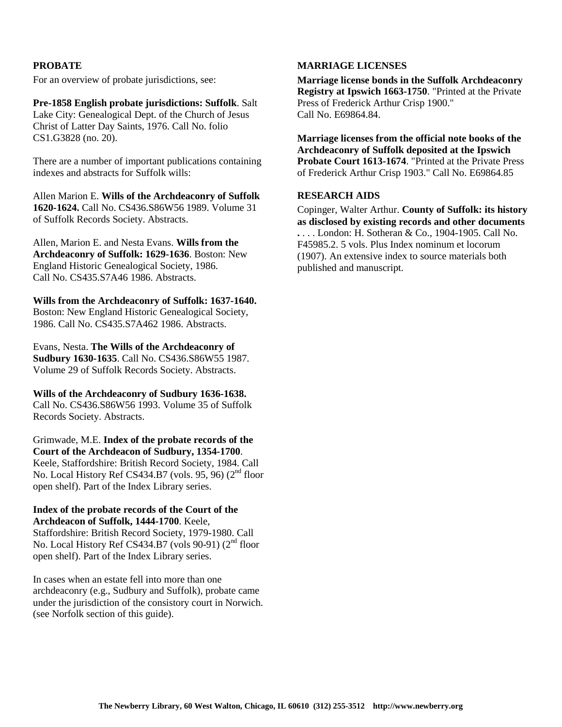## **PROBATE**

For an overview of probate jurisdictions, see:

**Pre-1858 English probate jurisdictions: Suffolk**. Salt Lake City: Genealogical Dept. of the Church of Jesus Christ of Latter Day Saints, 1976. Call No. folio CS1.G3828 (no. 20).

There are a number of important publications containing indexes and abstracts for Suffolk wills:

Allen Marion E. **Wills of the Archdeaconry of Suffolk 1620-1624.** Call No. CS436.S86W56 1989. Volume 31 of Suffolk Records Society. Abstracts.

Allen, Marion E. and Nesta Evans. **Wills from the Archdeaconry of Suffolk: 1629-1636**. Boston: New England Historic Genealogical Society, 1986. Call No. CS435.S7A46 1986. Abstracts.

**Wills from the Archdeaconry of Suffolk: 1637-1640.** Boston: New England Historic Genealogical Society, 1986. Call No. CS435.S7A462 1986. Abstracts.

Evans, Nesta. **The Wills of the Archdeaconry of Sudbury 1630-1635**. Call No. CS436.S86W55 1987. Volume 29 of Suffolk Records Society. Abstracts.

**Wills of the Archdeaconry of Sudbury 1636-1638.** Call No. CS436.S86W56 1993. Volume 35 of Suffolk Records Society. Abstracts.

Grimwade, M.E. **Index of the probate records of the Court of the Archdeacon of Sudbury, 1354-1700**. Keele, Staffordshire: British Record Society, 1984. Call No. Local History Ref CS434.B7 (vols. 95, 96) (2<sup>nd</sup> floor open shelf). Part of the Index Library series.

**Index of the probate records of the Court of the Archdeacon of Suffolk, 1444-1700**. Keele,

Staffordshire: British Record Society, 1979-1980. Call No. Local History Ref CS434.B7 (vols 90-91) (2<sup>nd</sup> floor open shelf). Part of the Index Library series.

In cases when an estate fell into more than one archdeaconry (e.g., Sudbury and Suffolk), probate came under the jurisdiction of the consistory court in Norwich. (see Norfolk section of this guide).

### **MARRIAGE LICENSES**

**Marriage license bonds in the Suffolk Archdeaconry Registry at Ipswich 1663-1750**. "Printed at the Private Press of Frederick Arthur Crisp 1900." Call No. E69864.84.

**Marriage licenses from the official note books of the Archdeaconry of Suffolk deposited at the Ipswich Probate Court 1613-1674**. "Printed at the Private Press of Frederick Arthur Crisp 1903." Call No. E69864.85

### **RESEARCH AIDS**

Copinger, Walter Arthur. **County of Suffolk: its history as disclosed by existing records and other documents .** . . . London: H. Sotheran & Co., 1904-1905. Call No. F45985.2. 5 vols. Plus Index nominum et locorum (1907). An extensive index to source materials both published and manuscript.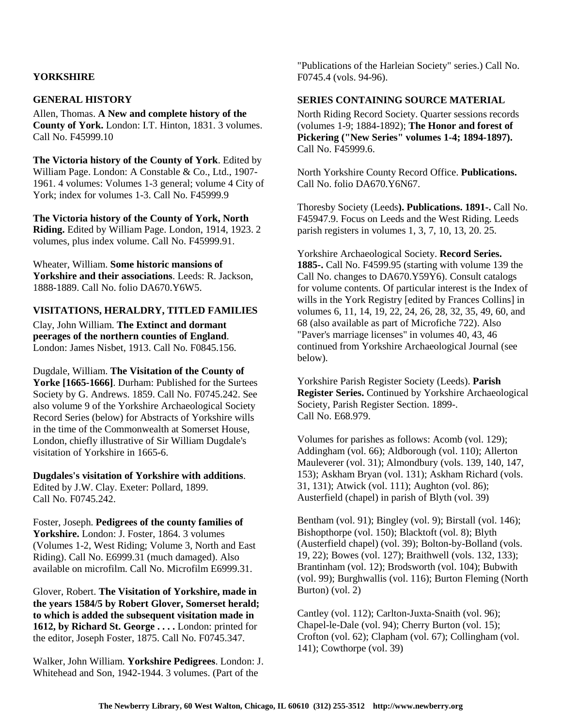## **YORKSHIRE**

### **GENERAL HISTORY**

Allen, Thomas. **A New and complete history of the County of York.** London: I.T. Hinton, 1831. 3 volumes. Call No. F45999.10

**The Victoria history of the County of York**. Edited by William Page. London: A Constable & Co., Ltd., 1907- 1961. 4 volumes: Volumes 1-3 general; volume 4 City of York; index for volumes 1-3. Call No. F45999.9

**The Victoria history of the County of York, North Riding.** Edited by William Page. London, 1914, 1923. 2 volumes, plus index volume. Call No. F45999.91.

Wheater, William. **Some historic mansions of Yorkshire and their associations**. Leeds: R. Jackson, 1888-1889. Call No. folio DA670.Y6W5.

### **VISITATIONS, HERALDRY, TITLED FAMILIES**

Clay, John William. **The Extinct and dormant peerages of the northern counties of England**. London: James Nisbet, 1913. Call No. F0845.156.

Dugdale, William. **The Visitation of the County of**  Yorke [1665-1666]. Durham: Published for the Surtees Society by G. Andrews. 1859. Call No. F0745.242. See also volume 9 of the Yorkshire Archaeological Society Record Series (below) for Abstracts of Yorkshire wills in the time of the Commonwealth at Somerset House, London, chiefly illustrative of Sir William Dugdale's visitation of Yorkshire in 1665-6.

## **Dugdales's visitation of Yorkshire with additions**.

Edited by J.W. Clay. Exeter: Pollard, 1899. Call No. F0745.242.

# Foster, Joseph. **Pedigrees of the county families of**

**Yorkshire.** London: J. Foster, 1864. 3 volumes (Volumes 1-2, West Riding; Volume 3, North and East Riding). Call No. E6999.31 (much damaged). Also available on microfilm. Call No. Microfilm E6999.31.

Glover, Robert. **The Visitation of Yorkshire, made in the years 1584/5 by Robert Glover, Somerset herald; to which is added the subsequent visitation made in 1612, by Richard St. George . . . .** London: printed for the editor, Joseph Foster, 1875. Call No. F0745.347.

Walker, John William. **Yorkshire Pedigrees**. London: J. Whitehead and Son, 1942-1944. 3 volumes. (Part of the

"Publications of the Harleian Society" series.) Call No. F0745.4 (vols. 94-96).

### **SERIES CONTAINING SOURCE MATERIAL**

North Riding Record Society. Quarter sessions records (volumes 1-9; 1884-1892); **The Honor and forest of Pickering ("New Series" volumes 1-4; 1894-1897).** Call No. F45999.6.

North Yorkshire County Record Office. **Publications.** Call No. folio DA670.Y6N67.

Thoresby Society (Leeds**). Publications. 1891-.** Call No. F45947.9. Focus on Leeds and the West Riding. Leeds parish registers in volumes 1, 3, 7, 10, 13, 20. 25.

Yorkshire Archaeological Society. **Record Series. 1885-.** Call No. F4599.95 (starting with volume 139 the Call No. changes to DA670.Y59Y6). Consult catalogs for volume contents. Of particular interest is the Index of wills in the York Registry [edited by Frances Collins] in volumes 6, 11, 14, 19, 22, 24, 26, 28, 32, 35, 49, 60, and 68 (also available as part of Microfiche 722). Also "Paver's marriage licenses" in volumes 40, 43, 46 continued from Yorkshire Archaeological Journal (see below).

Yorkshire Parish Register Society (Leeds). **Parish Register Series.** Continued by Yorkshire Archaeological Society, Parish Register Section. 1899-. Call No. E68.979.

Volumes for parishes as follows: Acomb (vol. 129); Addingham (vol. 66); Aldborough (vol. 110); Allerton Mauleverer (vol. 31); Almondbury (vols. 139, 140, 147, 153); Askham Bryan (vol. 131); Askham Richard (vols. 31, 131); Atwick (vol. 111); Aughton (vol. 86); Austerfield (chapel) in parish of Blyth (vol. 39)

Bentham (vol. 91); Bingley (vol. 9); Birstall (vol. 146); Bishopthorpe (vol. 150); Blacktoft (vol. 8); Blyth (Austerfield chapel) (vol. 39); Bolton-by-Bolland (vols. 19, 22); Bowes (vol. 127); Braithwell (vols. 132, 133); Brantinham (vol. 12); Brodsworth (vol. 104); Bubwith (vol. 99); Burghwallis (vol. 116); Burton Fleming (North Burton) (vol. 2)

Cantley (vol. 112); Carlton-Juxta-Snaith (vol. 96); Chapel-le-Dale (vol. 94); Cherry Burton (vol. 15); Crofton (vol. 62); Clapham (vol. 67); Collingham (vol. 141); Cowthorpe (vol. 39)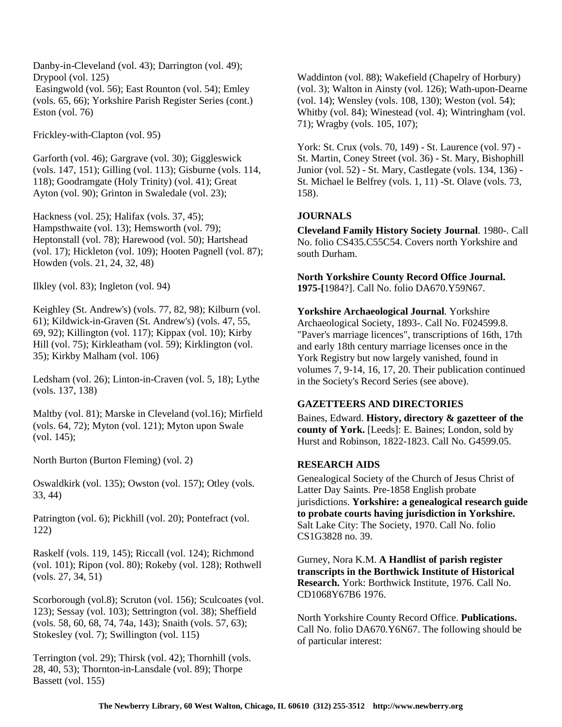Danby-in-Cleveland (vol. 43); Darrington (vol. 49); Drypool (vol. 125) Easingwold (vol. 56); East Rounton (vol. 54); Emley (vols. 65, 66); Yorkshire Parish Register Series (cont.) Eston (vol. 76)

Frickley-with-Clapton (vol. 95)

Garforth (vol. 46); Gargrave (vol. 30); Giggleswick (vols. 147, 151); Gilling (vol. 113); Gisburne (vols. 114, 118); Goodramgate (Holy Trinity) (vol. 41); Great Ayton (vol. 90); Grinton in Swaledale (vol. 23);

Hackness (vol. 25); Halifax (vols. 37, 45); Hampsthwaite (vol. 13); Hemsworth (vol. 79); Heptonstall (vol. 78); Harewood (vol. 50); Hartshead (vol. 17); Hickleton (vol. 109); Hooten Pagnell (vol. 87); Howden (vols. 21, 24, 32, 48)

Ilkley (vol. 83); Ingleton (vol. 94)

Keighley (St. Andrew's) (vols. 77, 82, 98); Kilburn (vol. 61); Kildwick-in-Graven (St. Andrew's) (vols. 47, 55, 69, 92); Killington (vol. 117); Kippax (vol. 10); Kirby Hill (vol. 75); Kirkleatham (vol. 59); Kirklington (vol. 35); Kirkby Malham (vol. 106)

Ledsham (vol. 26); Linton-in-Craven (vol. 5, 18); Lythe (vols. 137, 138)

Maltby (vol. 81); Marske in Cleveland (vol.16); Mirfield (vols. 64, 72); Myton (vol. 121); Myton upon Swale (vol. 145);

North Burton (Burton Fleming) (vol. 2)

Oswaldkirk (vol. 135); Owston (vol. 157); Otley (vols. 33, 44)

Patrington (vol. 6); Pickhill (vol. 20); Pontefract (vol. 122)

Raskelf (vols. 119, 145); Riccall (vol. 124); Richmond (vol. 101); Ripon (vol. 80); Rokeby (vol. 128); Rothwell (vols. 27, 34, 51)

Scorborough (vol.8); Scruton (vol. 156); Sculcoates (vol. 123); Sessay (vol. 103); Settrington (vol. 38); Sheffield (vols. 58, 60, 68, 74, 74a, 143); Snaith (vols. 57, 63); Stokesley (vol. 7); Swillington (vol. 115)

Terrington (vol. 29); Thirsk (vol. 42); Thornhill (vols. 28, 40, 53); Thornton-in-Lansdale (vol. 89); Thorpe Bassett (vol. 155)

Waddinton (vol. 88); Wakefield (Chapelry of Horbury) (vol. 3); Walton in Ainsty (vol. 126); Wath-upon-Dearne (vol. 14); Wensley (vols. 108, 130); Weston (vol. 54); Whitby (vol. 84); Winestead (vol. 4); Wintringham (vol. 71); Wragby (vols. 105, 107);

York: St. Crux (vols. 70, 149) - St. Laurence (vol. 97) - St. Martin, Coney Street (vol. 36) - St. Mary, Bishophill Junior (vol. 52) - St. Mary, Castlegate (vols. 134, 136) - St. Michael le Belfrey (vols. 1, 11) -St. Olave (vols. 73, 158).

# **JOURNALS**

**Cleveland Family History Society Journal**. 1980-. Call No. folio CS435.C55C54. Covers north Yorkshire and south Durham.

**North Yorkshire County Record Office Journal. 1975-[**1984?]. Call No. folio DA670.Y59N67.

**Yorkshire Archaeological Journal**. Yorkshire Archaeological Society, 1893-. Call No. F024599.8. "Paver's marriage licences", transcriptions of 16th, 17th and early 18th century marriage licenses once in the York Registry but now largely vanished, found in volumes 7, 9-14, 16, 17, 20. Their publication continued in the Society's Record Series (see above).

# **GAZETTEERS AND DIRECTORIES**

Baines, Edward. **History, directory & gazetteer of the county of York.** [Leeds]: E. Baines; London, sold by Hurst and Robinson, 1822-1823. Call No. G4599.05.

## **RESEARCH AIDS**

Genealogical Society of the Church of Jesus Christ of Latter Day Saints. Pre-1858 English probate jurisdictions. **Yorkshire: a genealogical research guide to probate courts having jurisdiction in Yorkshire.** Salt Lake City: The Society, 1970. Call No. folio CS1G3828 no. 39.

Gurney, Nora K.M. **A Handlist of parish register transcripts in the Borthwick Institute of Historical Research.** York: Borthwick Institute, 1976. Call No. CD1068Y67B6 1976.

North Yorkshire County Record Office. **Publications.** Call No. folio DA670.Y6N67. The following should be of particular interest: